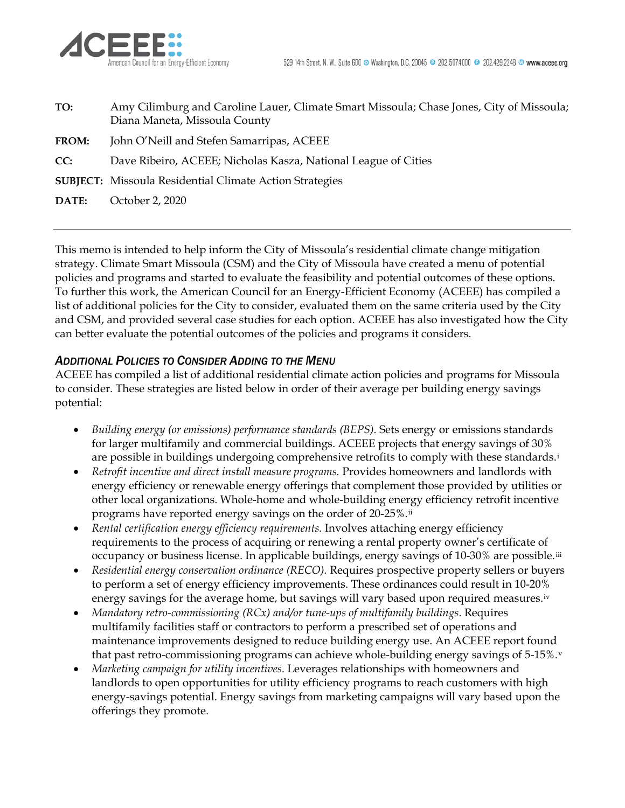

| TO:          | Amy Cilimburg and Caroline Lauer, Climate Smart Missoula; Chase Jones, City of Missoula;<br>Diana Maneta, Missoula County |
|--------------|---------------------------------------------------------------------------------------------------------------------------|
| <b>FROM:</b> | John O'Neill and Stefen Samarripas, ACEEE                                                                                 |
| CC:          | Dave Ribeiro, ACEEE; Nicholas Kasza, National League of Cities                                                            |
|              | <b>SUBJECT:</b> Missoula Residential Climate Action Strategies                                                            |
| DATE:        | October 2, 2020                                                                                                           |
|              |                                                                                                                           |

This memo is intended to help inform the City of Missoula's residential climate change mitigation strategy. Climate Smart Missoula (CSM) and the City of Missoula have created a menu of potential policies and programs and started to evaluate the feasibility and potential outcomes of these options. To further this work, the American Council for an Energy-Efficient Economy (ACEEE) has compiled a list of additional policies for the City to consider, evaluated them on the same criteria used by the City and CSM, and provided several case studies for each option. ACEEE has also investigated how the City can better evaluate the potential outcomes of the policies and programs it considers.

## *ADDITIONAL POLICIES TO CONSIDER ADDING TO THE MENU*

ACEEE has compiled a list of additional residential climate action policies and programs for Missoula to consider. These strategies are listed below in order of their average per building energy savings potential:

- *Building energy (or emissions) performance standards (BEPS).* Sets energy or emissions standards for larger multifamily and commercial buildings. ACEEE projects that energy savings of 30% are poss[i](#page-2-0)ble in buildings undergoing comprehensive retrofits to comply with these standards.<sup>i</sup>
- *Retrofit incentive and direct install measure programs.* Provides homeowners and landlords with energy efficiency or renewable energy offerings that complement those provided by utilities or other local organizations. Whole-home and whole-building energy efficiency retrofit incentive programs have reported energy savings on the order of 20-25%.<sup>[ii](#page-2-1)</sup>
- *Rental certification energy efficiency requirements.* Involves attaching energy efficiency requirements to the process of acquiring or renewing a rental property owner's certificate of occupancy or business license. In applicable buildings, energy savings of 10-30% are possible.[iii](#page-2-2)
- *Residential energy conservation ordinance (RECO).* Requires prospective property sellers or buyers to perform a set of energy efficiency improvements. These ordinances could result in 10-20% energy savings for the average home, but savings will vary based upon required measures.<sup>[iv](#page-2-3)</sup>
- *Mandatory retro-commissioning (RCx) and/or tune-ups of multifamily buildings*. Requires multifamily facilities staff or contractors to perform a prescribed set of operations and maintenance improvements designed to reduce building energy use. An ACEEE report found that past retro-commissioning programs can achie[v](#page-2-4)e whole-building energy savings of 5-15%.<sup>v</sup>
- *Marketing campaign for utility incentives*. Leverages relationships with homeowners and landlords to open opportunities for utility efficiency programs to reach customers with high energy-savings potential. Energy savings from marketing campaigns will vary based upon the offerings they promote.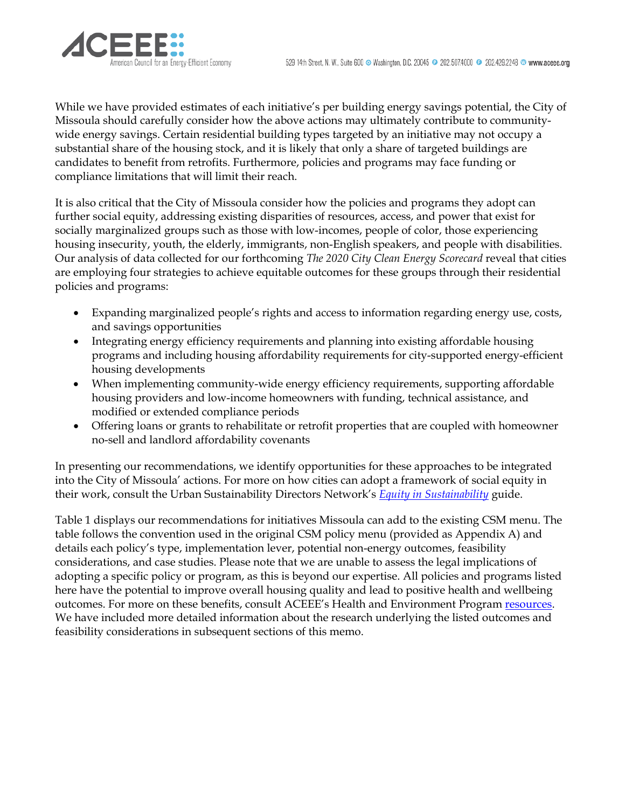

While we have provided estimates of each initiative's per building energy savings potential, the City of Missoula should carefully consider how the above actions may ultimately contribute to communitywide energy savings. Certain residential building types targeted by an initiative may not occupy a substantial share of the housing stock, and it is likely that only a share of targeted buildings are candidates to benefit from retrofits. Furthermore, policies and programs may face funding or compliance limitations that will limit their reach.

It is also critical that the City of Missoula consider how the policies and programs they adopt can further social equity, addressing existing disparities of resources, access, and power that exist for socially marginalized groups such as those with low-incomes, people of color, those experiencing housing insecurity, youth, the elderly, immigrants, non-English speakers, and people with disabilities. Our analysis of data collected for our forthcoming *The 2020 City Clean Energy Scorecard* reveal that cities are employing four strategies to achieve equitable outcomes for these groups through their residential policies and programs:

- Expanding marginalized people's rights and access to information regarding energy use, costs, and savings opportunities
- Integrating energy efficiency requirements and planning into existing affordable housing programs and including housing affordability requirements for city-supported energy-efficient housing developments
- When implementing community-wide energy efficiency requirements, supporting affordable housing providers and low-income homeowners with funding, technical assistance, and modified or extended compliance periods
- Offering loans or grants to rehabilitate or retrofit properties that are coupled with homeowner no-sell and landlord affordability covenants

In presenting our recommendations, we identify opportunities for these approaches to be integrated into the City of Missoula' actions. For more on how cities can adopt a framework of social equity in their work, consult the Urban Sustainability Directors Network's *[Equity in Sustainability](https://www.usdn.org/uploads/cms/documents/usdn_equity_scan_sept_2014_final.pdf)* guide.

Table 1 displays our recommendations for initiatives Missoula can add to the existing CSM menu. The table follows the convention used in the original CSM policy menu (provided as Appendix A) and details each policy's type, implementation lever, potential non-energy outcomes, feasibility considerations, and case studies. Please note that we are unable to assess the legal implications of adopting a specific policy or program, as this is beyond our expertise. All policies and programs listed here have the potential to improve overall housing quality and lead to positive health and wellbeing outcomes. For more on these benefits, consult ACEEE's Health and Environment Program [resources.](https://www.aceee.org/program/health-environment) We have included more detailed information about the research underlying the listed outcomes and feasibility considerations in subsequent sections of this memo.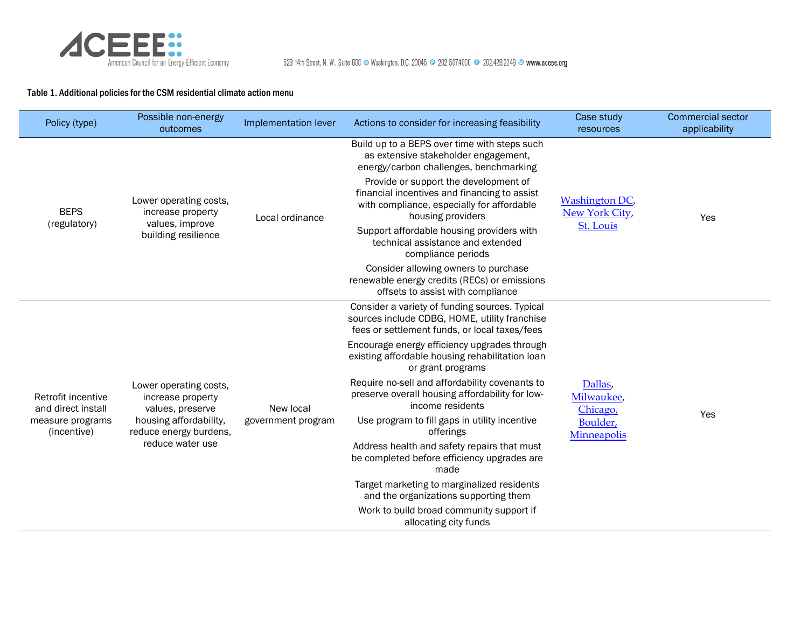

## Table 1. Additional policies for the CSM residential climate action menu

<span id="page-2-4"></span><span id="page-2-3"></span><span id="page-2-2"></span><span id="page-2-1"></span><span id="page-2-0"></span>

| Policy (type)                            | Possible non-energy<br>outcomes                                                                                                         | Implementation lever            | Actions to consider for increasing feasibility                                                                                                           | Case study<br>resources                                      | <b>Commercial sector</b><br>applicability |
|------------------------------------------|-----------------------------------------------------------------------------------------------------------------------------------------|---------------------------------|----------------------------------------------------------------------------------------------------------------------------------------------------------|--------------------------------------------------------------|-------------------------------------------|
|                                          | Lower operating costs,<br>increase property<br>values, improve<br>building resilience                                                   | Local ordinance                 | Build up to a BEPS over time with steps such<br>as extensive stakeholder engagement,<br>energy/carbon challenges, benchmarking                           | Washington DC,<br>New York City,<br>St. Louis                | Yes                                       |
| <b>BEPS</b>                              |                                                                                                                                         |                                 | Provide or support the development of<br>financial incentives and financing to assist<br>with compliance, especially for affordable<br>housing providers |                                                              |                                           |
| (regulatory)                             |                                                                                                                                         |                                 | Support affordable housing providers with<br>technical assistance and extended<br>compliance periods                                                     |                                                              |                                           |
|                                          |                                                                                                                                         |                                 | Consider allowing owners to purchase<br>renewable energy credits (RECs) or emissions<br>offsets to assist with compliance                                |                                                              |                                           |
|                                          | Lower operating costs,<br>increase property<br>values, preserve<br>housing affordability,<br>reduce energy burdens,<br>reduce water use | New local<br>government program | Consider a variety of funding sources. Typical<br>sources include CDBG, HOME, utility franchise<br>fees or settlement funds, or local taxes/fees         | Dallas,<br>Milwaukee,<br>Chicago,<br>Boulder,<br>Minneapolis | Yes                                       |
|                                          |                                                                                                                                         |                                 | Encourage energy efficiency upgrades through<br>existing affordable housing rehabilitation loan<br>or grant programs                                     |                                                              |                                           |
| Retrofit incentive<br>and direct install |                                                                                                                                         |                                 | Require no-sell and affordability covenants to<br>preserve overall housing affordability for low-<br>income residents                                    |                                                              |                                           |
| measure programs<br>(incentive)          |                                                                                                                                         |                                 | Use program to fill gaps in utility incentive<br>offerings                                                                                               |                                                              |                                           |
|                                          |                                                                                                                                         |                                 | Address health and safety repairs that must<br>be completed before efficiency upgrades are<br>made                                                       |                                                              |                                           |
|                                          |                                                                                                                                         |                                 | Target marketing to marginalized residents<br>and the organizations supporting them                                                                      |                                                              |                                           |
|                                          |                                                                                                                                         |                                 | Work to build broad community support if<br>allocating city funds                                                                                        |                                                              |                                           |